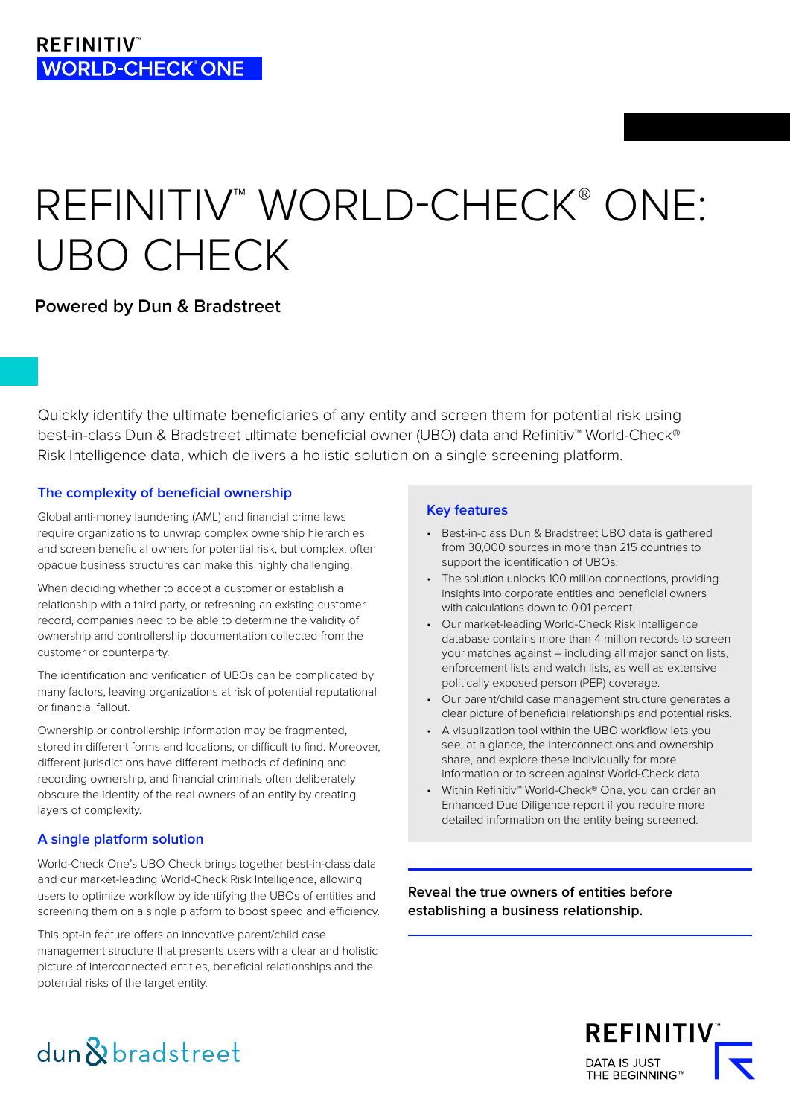# REFINITIV<sup>™</sup> WORLD-CHECK<sup>®</sup> ONE: UBO CHECK

# **Powered by Dun & Bradstreet**

Quickly identify the ultimate beneficiaries of any entity and screen them for potential risk using best-in-class Dun & Bradstreet ultimate beneficial owner (UBO) data and Refinitiv™ World-Check® Risk Intelligence data, which delivers a holistic solution on a single screening platform.

# **The complexity of beneficial ownership**

Global anti-money laundering (AML) and financial crime laws require organizations to unwrap complex ownership hierarchies and screen beneficial owners for potential risk, but complex, often opaque business structures can make this highly challenging.

When deciding whether to accept a customer or establish a relationship with a third party, or refreshing an existing customer record, companies need to be able to determine the validity of ownership and controllership documentation collected from the customer or counterparty.

The identification and verification of UBOs can be complicated by many factors, leaving organizations at risk of potential reputational or financial fallout.

Ownership or controllership information may be fragmented, stored in different forms and locations, or difficult to find. Moreover, different jurisdictions have different methods of defining and recording ownership, and financial criminals often deliberately obscure the identity of the real owners of an entity by creating layers of complexity.

# **A single platform solution**

World-Check One's UBO Check brings together best-in-class data and our market-leading World-Check Risk Intelligence, allowing users to optimize workflow by identifying the UBOs of entities and screening them on a single platform to boost speed and efficiency.

This opt-in feature offers an innovative parent/child case management structure that presents users with a clear and holistic picture of interconnected entities, beneficial relationships and the potential risks of the target entity.

## **Key features**

- Best-in-class Dun & Bradstreet UBO data is gathered from 30,000 sources in more than 215 countries to support the identification of UBOs.
- The solution unlocks 100 million connections, providing insights into corporate entities and beneficial owners with calculations down to 0.01 percent.
- Our market-leading World-Check Risk Intelligence database contains more than 4 million records to screen your matches against – including all major sanction lists, enforcement lists and watch lists, as well as extensive politically exposed person (PEP) coverage.
- Our parent/child case management structure generates a clear picture of beneficial relationships and potential risks.
- A visualization tool within the UBO workflow lets you see, at a glance, the interconnections and ownership share, and explore these individually for more information or to screen against World-Check data.
- Within Refinitiv™ World-Check® One, you can order an Enhanced Due Diligence report if you require more detailed information on the entity being screened.

**Reveal the true owners of entities before establishing a business relationship.**